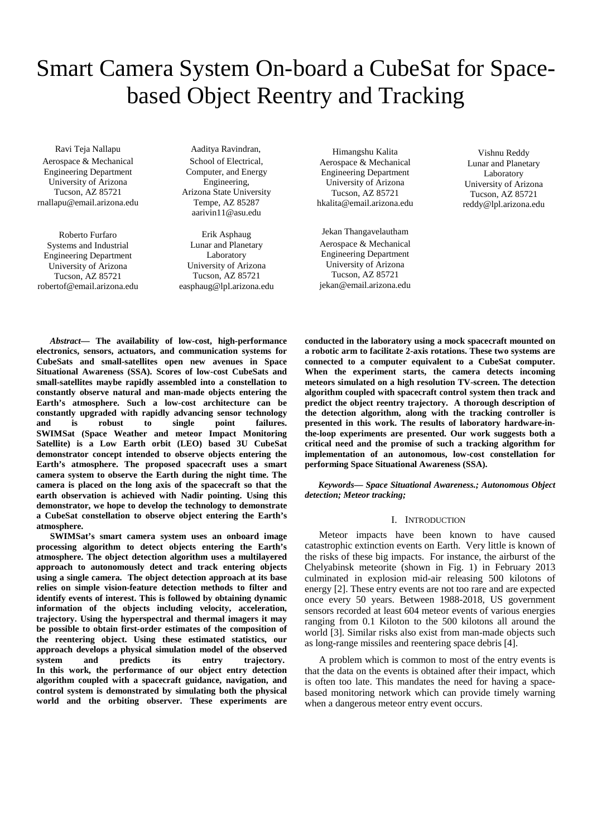# Smart Camera System On-board a CubeSat for Spacebased Object Reentry and Tracking

Ravi Teja Nallapu Aerospace & Mechanical Engineering Department University of Arizona Tucson, AZ 85721 rnallapu@email.arizona.edu

Roberto Furfaro Systems and Industrial Engineering Department University of Arizona Tucson, AZ 85721 robertof@email.arizona.edu

 Aaditya Ravindran, School of Electrical, Computer, and Energy Engineering, Arizona State University Tempe, AZ 85287 aarivin11@asu.edu

Erik Asphaug Lunar and Planetary Laboratory University of Arizona Tucson, AZ 85721 easphaug@lpl.arizona.edu

Himangshu Kalita Aerospace & Mechanical Engineering Department University of Arizona Tucson, AZ 85721 hkalita@email.arizona.edu

Jekan Thangavelautham Aerospace & Mechanical Engineering Department University of Arizona Tucson, AZ 85721 jekan@email.arizona.edu

Vishnu Reddy Lunar and Planetary Laboratory University of Arizona Tucson, AZ 85721 reddy@lpl.arizona.edu

*Abstract***— The availability of low-cost, high-performance electronics, sensors, actuators, and communication systems for CubeSats and small-satellites open new avenues in Space Situational Awareness (SSA). Scores of low-cost CubeSats and small-satellites maybe rapidly assembled into a constellation to constantly observe natural and man-made objects entering the Earth's atmosphere. Such a low-cost architecture can be constantly upgraded with rapidly advancing sensor technology and is robust to single point failures. SWIMSat (Space Weather and meteor Impact Monitoring Satellite) is a Low Earth orbit (LEO) based 3U CubeSat demonstrator concept intended to observe objects entering the Earth's atmosphere. The proposed spacecraft uses a smart camera system to observe the Earth during the night time. The camera is placed on the long axis of the spacecraft so that the earth observation is achieved with Nadir pointing. Using this demonstrator, we hope to develop the technology to demonstrate a CubeSat constellation to observe object entering the Earth's atmosphere.**

 **SWIMSat's smart camera system uses an onboard image processing algorithm to detect objects entering the Earth's atmosphere. The object detection algorithm uses a multilayered approach to autonomously detect and track entering objects using a single camera. The object detection approach at its base relies on simple vision-feature detection methods to filter and identify events of interest. This is followed by obtaining dynamic information of the objects including velocity, acceleration, trajectory. Using the hyperspectral and thermal imagers it may be possible to obtain first-order estimates of the composition of the reentering object. Using these estimated statistics, our approach develops a physical simulation model of the observed system and predicts its entry trajectory. In this work, the performance of our object entry detection algorithm coupled with a spacecraft guidance, navigation, and control system is demonstrated by simulating both the physical world and the orbiting observer. These experiments are**  **conducted in the laboratory using a mock spacecraft mounted on a robotic arm to facilitate 2-axis rotations. These two systems are connected to a computer equivalent to a CubeSat computer. When the experiment starts, the camera detects incoming meteors simulated on a high resolution TV-screen. The detection algorithm coupled with spacecraft control system then track and predict the object reentry trajectory. A thorough description of the detection algorithm, along with the tracking controller is presented in this work. The results of laboratory hardware-inthe-loop experiments are presented. Our work suggests both a critical need and the promise of such a tracking algorithm for implementation of an autonomous, low-cost constellation for performing Space Situational Awareness (SSA).**

*Keywords— Space Situational Awareness.; Autonomous Object detection; Meteor tracking;* 

#### I. INTRODUCTION

Meteor impacts have been known to have caused catastrophic extinction events on Earth. Very little is known of the risks of these big impacts. For instance, the airburst of the Chelyabinsk meteorite (shown in Fig. 1) in February 2013 culminated in explosion mid-air releasing 500 kilotons of energy [2]. These entry events are not too rare and are expected once every 50 years. Between 1988-2018, US government sensors recorded at least 604 meteor events of various energies ranging from 0.1 Kiloton to the 500 kilotons all around the world [3]. Similar risks also exist from man-made objects such as long-range missiles and reentering space debris [4].

A problem which is common to most of the entry events is that the data on the events is obtained after their impact, which is often too late. This mandates the need for having a spacebased monitoring network which can provide timely warning when a dangerous meteor entry event occurs.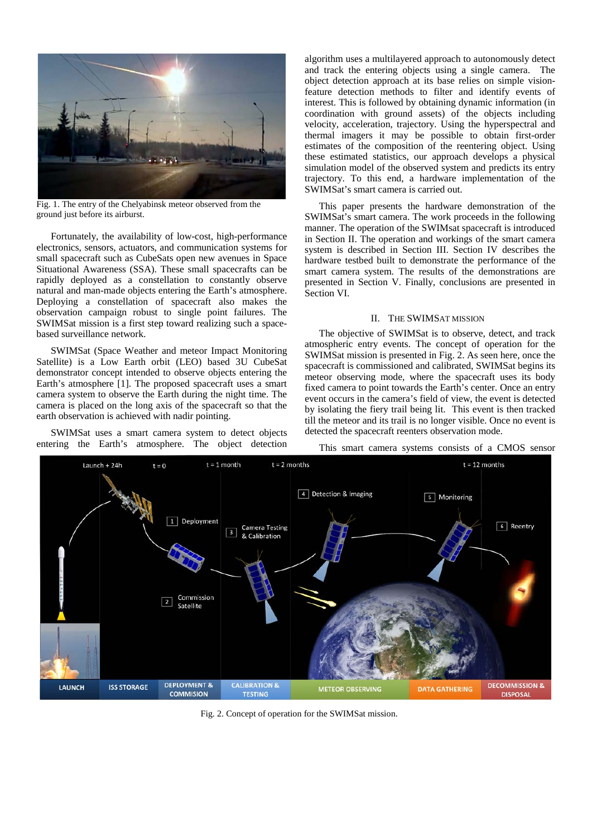

Fig. 1. The entry of the Chelyabinsk meteor observed from the ground just before its airburst.

Fortunately, the availability of low-cost, high-performance electronics, sensors, actuators, and communication systems for small spacecraft such as CubeSats open new avenues in Space Situational Awareness (SSA). These small spacecrafts can be rapidly deployed as a constellation to constantly observe natural and man-made objects entering the Earth's atmosphere. Deploying a constellation of spacecraft also makes the observation campaign robust to single point failures. The SWIMSat mission is a first step toward realizing such a spacebased surveillance network.

SWIMSat (Space Weather and meteor Impact Monitoring Satellite) is a Low Earth orbit (LEO) based 3U CubeSat demonstrator concept intended to observe objects entering the Earth's atmosphere [1]. The proposed spacecraft uses a smart camera system to observe the Earth during the night time. The camera is placed on the long axis of the spacecraft so that the earth observation is achieved with nadir pointing.

SWIMSat uses a smart camera system to detect objects entering the Earth's atmosphere. The object detection algorithm uses a multilayered approach to autonomously detect and track the entering objects using a single camera. The object detection approach at its base relies on simple visionfeature detection methods to filter and identify events of interest. This is followed by obtaining dynamic information (in coordination with ground assets) of the objects including velocity, acceleration, trajectory. Using the hyperspectral and thermal imagers it may be possible to obtain first-order estimates of the composition of the reentering object. Using these estimated statistics, our approach develops a physical simulation model of the observed system and predicts its entry trajectory. To this end, a hardware implementation of the SWIMSat's smart camera is carried out.

This paper presents the hardware demonstration of the SWIMSat's smart camera. The work proceeds in the following manner. The operation of the SWIMsat spacecraft is introduced in Section II. The operation and workings of the smart camera system is described in Section III. Section IV describes the hardware testbed built to demonstrate the performance of the smart camera system. The results of the demonstrations are presented in Section V. Finally, conclusions are presented in Section VI.

## II. THE SWIMSAT MISSION

The objective of SWIMSat is to observe, detect, and track atmospheric entry events. The concept of operation for the SWIMSat mission is presented in Fig. 2. As seen here, once the spacecraft is commissioned and calibrated, SWIMSat begins its meteor observing mode, where the spacecraft uses its body fixed camera to point towards the Earth's center. Once an entry event occurs in the camera's field of view, the event is detected by isolating the fiery trail being lit. This event is then tracked till the meteor and its trail is no longer visible. Once no event is detected the spacecraft reenters observation mode.



Fig. 2. Concept of operation for the SWIMSat mission.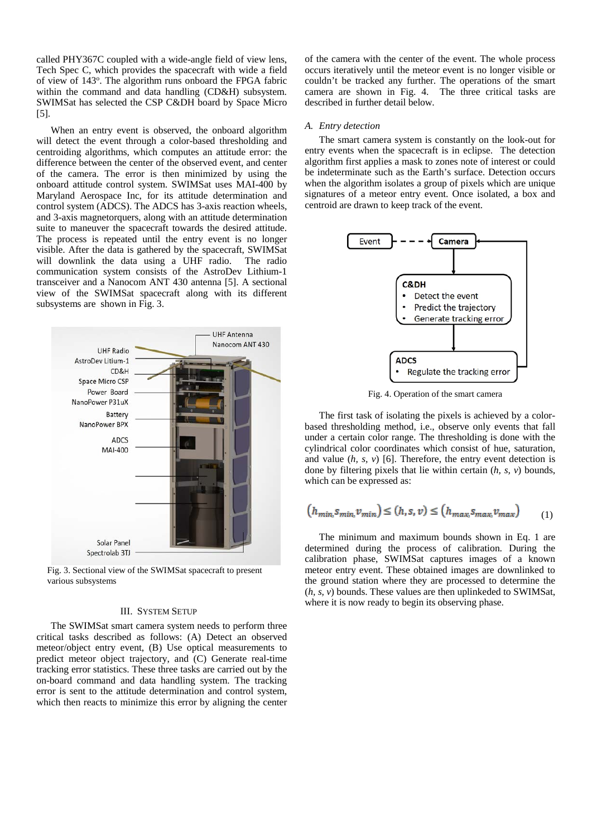called PHY367C coupled with a wide-angle field of view lens, Tech Spec C, which provides the spacecraft with wide a field of view of 143°. The algorithm runs onboard the FPGA fabric within the command and data handling (CD&H) subsystem. SWIMSat has selected the CSP C&DH board by Space Micro [5].

When an entry event is observed, the onboard algorithm will detect the event through a color-based thresholding and centroiding algorithms, which computes an attitude error: the difference between the center of the observed event, and center of the camera. The error is then minimized by using the onboard attitude control system. SWIMSat uses MAI-400 by Maryland Aerospace Inc, for its attitude determination and control system (ADCS). The ADCS has 3-axis reaction wheels, and 3-axis magnetorquers, along with an attitude determination suite to maneuver the spacecraft towards the desired attitude. The process is repeated until the entry event is no longer visible. After the data is gathered by the spacecraft, SWIMSat will downlink the data using a UHF radio. The radio communication system consists of the AstroDev Lithium-1 transceiver and a Nanocom ANT 430 antenna [5]. A sectional view of the SWIMSat spacecraft along with its different subsystems are shown in Fig. 3.



Fig. 3. Sectional view of the SWIMSat spacecraft to present various subsystems

## III. SYSTEM SETUP

The SWIMSat smart camera system needs to perform three critical tasks described as follows: (A) Detect an observed meteor/object entry event, (B) Use optical measurements to predict meteor object trajectory, and (C) Generate real-time tracking error statistics. These three tasks are carried out by the on-board command and data handling system. The tracking error is sent to the attitude determination and control system, which then reacts to minimize this error by aligning the center of the camera with the center of the event. The whole process occurs iteratively until the meteor event is no longer visible or couldn't be tracked any further. The operations of the smart camera are shown in Fig. 4. The three critical tasks are described in further detail below.

#### *A. Entry detection*

The smart camera system is constantly on the look-out for entry events when the spacecraft is in eclipse. The detection algorithm first applies a mask to zones note of interest or could be indeterminate such as the Earth's surface. Detection occurs when the algorithm isolates a group of pixels which are unique signatures of a meteor entry event. Once isolated, a box and centroid are drawn to keep track of the event.



Fig. 4. Operation of the smart camera

The first task of isolating the pixels is achieved by a colorbased thresholding method, i.e., observe only events that fall under a certain color range. The thresholding is done with the cylindrical color coordinates which consist of hue, saturation, and value  $(h, s, v)$  [6]. Therefore, the entry event detection is done by filtering pixels that lie within certain (*h, s, v*) bounds, which can be expressed as:

$$
(h_{min,5min,1min}) \le (h,s,v) \le (h_{max,5max,1max})
$$
 (1)

The minimum and maximum bounds shown in Eq. 1 are determined during the process of calibration. During the calibration phase, SWIMSat captures images of a known meteor entry event. These obtained images are downlinked to the ground station where they are processed to determine the (*h, s, v*) bounds. These values are then uplinkeded to SWIMSat, where it is now ready to begin its observing phase.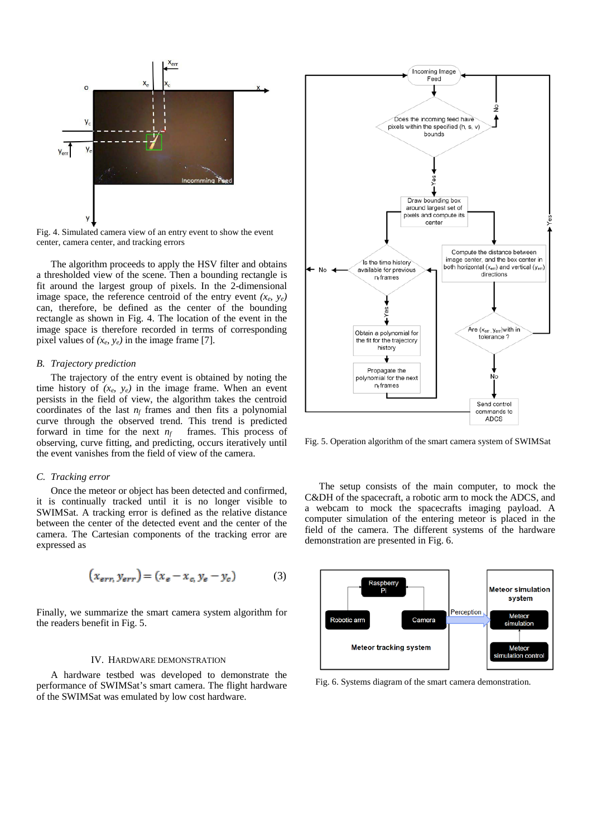

Fig. 4. Simulated camera view of an entry event to show the event center, camera center, and tracking errors

The algorithm proceeds to apply the HSV filter and obtains a thresholded view of the scene. Then a bounding rectangle is fit around the largest group of pixels. In the 2-dimensional image space, the reference centroid of the entry event  $(x_e, y_e)$ can, therefore, be defined as the center of the bounding rectangle as shown in Fig. 4. The location of the event in the image space is therefore recorded in terms of corresponding pixel values of  $(x_e, y_e)$  in the image frame [7].

## *B. Trajectory prediction*

The trajectory of the entry event is obtained by noting the time history of  $(x_e, y_e)$  in the image frame. When an event persists in the field of view, the algorithm takes the centroid coordinates of the last  $n_f$  frames and then fits a polynomial curve through the observed trend. This trend is predicted forward in time for the next  $n_f$  frames. This process of observing, curve fitting, and predicting, occurs iteratively until the event vanishes from the field of view of the camera.

#### *C. Tracking error*

Once the meteor or object has been detected and confirmed, it is continually tracked until it is no longer visible to SWIMSat. A tracking error is defined as the relative distance between the center of the detected event and the center of the camera. The Cartesian components of the tracking error are expressed as

$$
(x_{\text{err}}, y_{\text{err}}) = (x_{\text{e}} - x_{\text{c}}, y_{\text{e}} - y_{\text{c}}) \tag{3}
$$

Finally, we summarize the smart camera system algorithm for the readers benefit in Fig. 5.

## IV. HARDWARE DEMONSTRATION

A hardware testbed was developed to demonstrate the performance of SWIMSat's smart camera. The flight hardware of the SWIMSat was emulated by low cost hardware.



Fig. 5. Operation algorithm of the smart camera system of SWIMSat

The setup consists of the main computer, to mock the C&DH of the spacecraft, a robotic arm to mock the ADCS, and a webcam to mock the spacecrafts imaging payload. A computer simulation of the entering meteor is placed in the field of the camera. The different systems of the hardware demonstration are presented in Fig. 6.



Fig. 6. Systems diagram of the smart camera demonstration.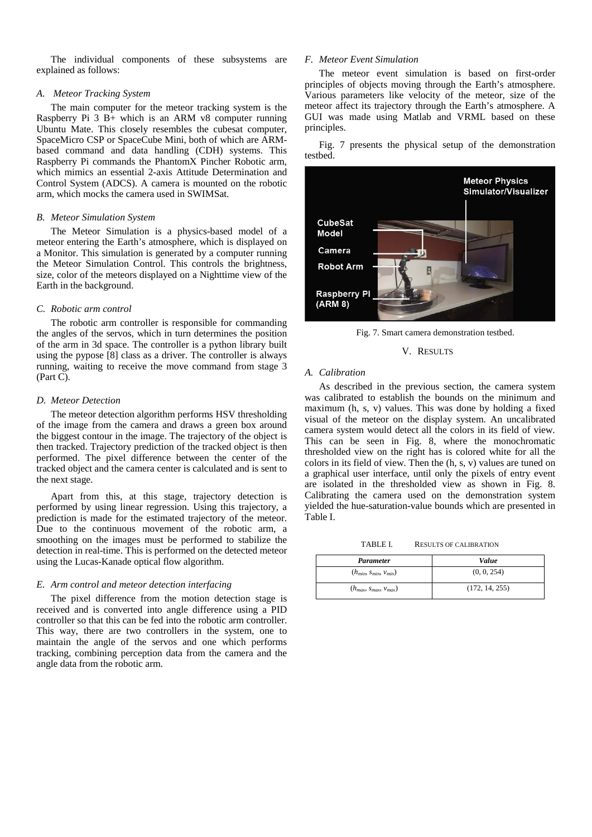The individual components of these subsystems are explained as follows:

## *A. Meteor Tracking System*

The main computer for the meteor tracking system is the Raspberry Pi  $3 \overrightarrow{B+}$  which is an ARM v8 computer running Ubuntu Mate. This closely resembles the cubesat computer, SpaceMicro CSP or SpaceCube Mini, both of which are ARMbased command and data handling (CDH) systems. This Raspberry Pi commands the PhantomX Pincher Robotic arm, which mimics an essential 2-axis Attitude Determination and Control System (ADCS). A camera is mounted on the robotic arm, which mocks the camera used in SWIMSat.

## *B. Meteor Simulation System*

The Meteor Simulation is a physics-based model of a meteor entering the Earth's atmosphere, which is displayed on a Monitor. This simulation is generated by a computer running the Meteor Simulation Control. This controls the brightness, size, color of the meteors displayed on a Nighttime view of the Earth in the background.

#### *C. Robotic arm control*

The robotic arm controller is responsible for commanding the angles of the servos, which in turn determines the position of the arm in 3d space. The controller is a python library built using the pypose [8] class as a driver. The controller is always running, waiting to receive the move command from stage 3 (Part C).

## *D. Meteor Detection*

The meteor detection algorithm performs HSV thresholding of the image from the camera and draws a green box around the biggest contour in the image. The trajectory of the object is then tracked. Trajectory prediction of the tracked object is then performed. The pixel difference between the center of the tracked object and the camera center is calculated and is sent to the next stage.

Apart from this, at this stage, trajectory detection is performed by using linear regression. Using this trajectory, a prediction is made for the estimated trajectory of the meteor. Due to the continuous movement of the robotic arm, a smoothing on the images must be performed to stabilize the detection in real-time. This is performed on the detected meteor using the Lucas-Kanade optical flow algorithm.

## *E. Arm control and meteor detection interfacing*

The pixel difference from the motion detection stage is received and is converted into angle difference using a PID controller so that this can be fed into the robotic arm controller. This way, there are two controllers in the system, one to maintain the angle of the servos and one which performs tracking, combining perception data from the camera and the angle data from the robotic arm.

## *F. Meteor Event Simulation*

The meteor event simulation is based on first-order principles of objects moving through the Earth's atmosphere. Various parameters like velocity of the meteor, size of the meteor affect its trajectory through the Earth's atmosphere. A GUI was made using Matlab and VRML based on these principles.

Fig. 7 presents the physical setup of the demonstration testbed.



Fig. 7. Smart camera demonstration testbed.

#### V. RESULTS

#### *A. Calibration*

As described in the previous section, the camera system was calibrated to establish the bounds on the minimum and maximum (h, s, v) values. This was done by holding a fixed visual of the meteor on the display system. An uncalibrated camera system would detect all the colors in its field of view. This can be seen in Fig. 8, where the monochromatic thresholded view on the right has is colored white for all the colors in its field of view. Then the (h, s, v) values are tuned on a graphical user interface, until only the pixels of entry event are isolated in the thresholded view as shown in Fig. 8. Calibrating the camera used on the demonstration system yielded the hue-saturation-value bounds which are presented in Table I.

TABLE I. RESULTS OF CALIBRATION

| <b>Parameter</b>              | Value          |
|-------------------------------|----------------|
| $(h_{min} s_{min} v_{min})$   | (0, 0, 254)    |
| $(h_{max}, s_{max}, v_{max})$ | (172, 14, 255) |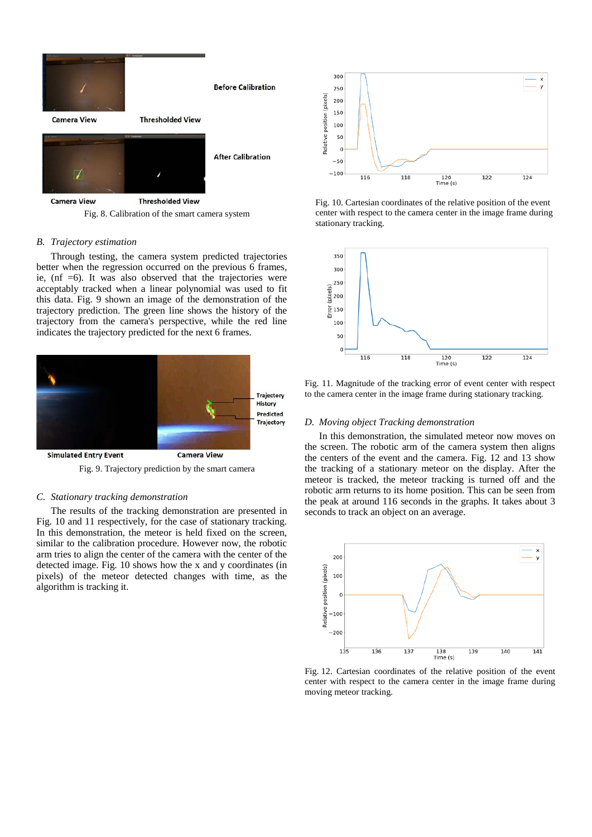

Fig. 8. Calibration of the smart camera system

## *B. Trajectory estimation*

Through testing, the camera system predicted trajectories better when the regression occurred on the previous 6 frames, ie,  $(nf = 6)$ . It was also observed that the trajectories were acceptably tracked when a linear polynomial was used to fit this data. Fig. 9 shown an image of the demonstration of the trajectory prediction. The green line shows the history of the trajectory from the camera's perspective, while the red line indicates the trajectory predicted for the next 6 frames.



Fig. 9. Trajectory prediction by the smart camera

#### *C. Stationary tracking demonstration*

The results of the tracking demonstration are presented in Fig. 10 and 11 respectively, for the case of stationary tracking. In this demonstration, the meteor is held fixed on the screen, similar to the calibration procedure. However now, the robotic arm tries to align the center of the camera with the center of the detected image. Fig. 10 shows how the x and y coordinates (in pixels) of the meteor detected changes with time, as the algorithm is tracking it.



Fig. 10. Cartesian coordinates of the relative position of the event center with respect to the camera center in the image frame during stationary tracking.



Fig. 11. Magnitude of the tracking error of event center with respect to the camera center in the image frame during stationary tracking.

#### *D. Moving object Tracking demonstration*

In this demonstration, the simulated meteor now moves on the screen. The robotic arm of the camera system then aligns the centers of the event and the camera. Fig. 12 and 13 show the tracking of a stationary meteor on the display. After the meteor is tracked, the meteor tracking is turned off and the robotic arm returns to its home position. This can be seen from the peak at around 116 seconds in the graphs. It takes about 3 seconds to track an object on an average.



Fig. 12. Cartesian coordinates of the relative position of the event center with respect to the camera center in the image frame during moving meteor tracking.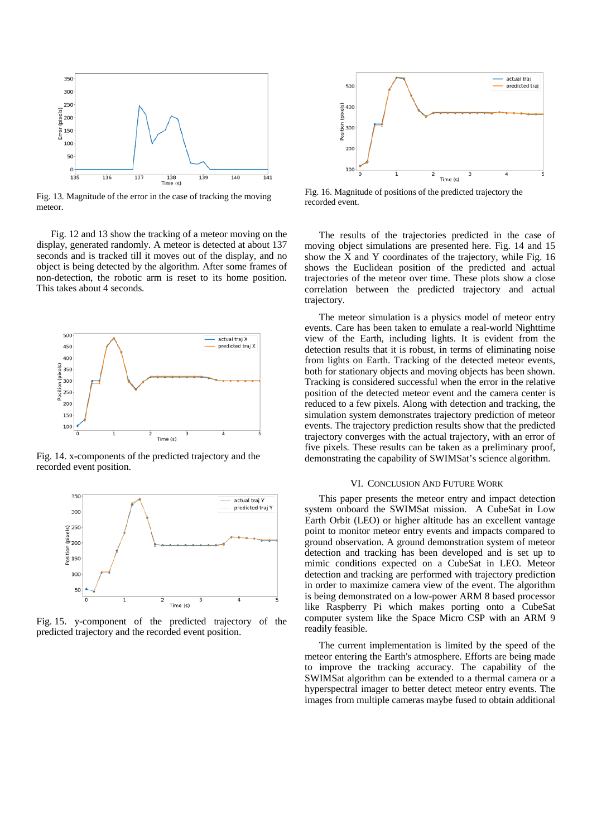

Fig. 13. Magnitude of the error in the case of tracking the moving meteor.

Fig. 12 and 13 show the tracking of a meteor moving on the display, generated randomly. A meteor is detected at about 137 seconds and is tracked till it moves out of the display, and no object is being detected by the algorithm. After some frames of non-detection, the robotic arm is reset to its home position. This takes about 4 seconds.



Fig. 14. x-components of the predicted trajectory and the recorded event position.



Fig. 15. y-component of the predicted trajectory of the predicted trajectory and the recorded event position.



Fig. 16. Magnitude of positions of the predicted trajectory the recorded event.

The results of the trajectories predicted in the case of moving object simulations are presented here. Fig. 14 and 15 show the  $\overline{X}$  and  $\overline{Y}$  coordinates of the trajectory, while Fig. 16 shows the Euclidean position of the predicted and actual trajectories of the meteor over time. These plots show a close correlation between the predicted trajectory and actual trajectory.

The meteor simulation is a physics model of meteor entry events. Care has been taken to emulate a real-world Nighttime view of the Earth, including lights. It is evident from the detection results that it is robust, in terms of eliminating noise from lights on Earth. Tracking of the detected meteor events, both for stationary objects and moving objects has been shown. Tracking is considered successful when the error in the relative position of the detected meteor event and the camera center is reduced to a few pixels. Along with detection and tracking, the simulation system demonstrates trajectory prediction of meteor events. The trajectory prediction results show that the predicted trajectory converges with the actual trajectory, with an error of five pixels. These results can be taken as a preliminary proof, demonstrating the capability of SWIMSat's science algorithm.

## VI. CONCLUSION AND FUTURE WORK

This paper presents the meteor entry and impact detection system onboard the SWIMSat mission. A CubeSat in Low Earth Orbit (LEO) or higher altitude has an excellent vantage point to monitor meteor entry events and impacts compared to ground observation. A ground demonstration system of meteor detection and tracking has been developed and is set up to mimic conditions expected on a CubeSat in LEO. Meteor detection and tracking are performed with trajectory prediction in order to maximize camera view of the event. The algorithm is being demonstrated on a low-power ARM 8 based processor like Raspberry Pi which makes porting onto a CubeSat computer system like the Space Micro CSP with an ARM 9 readily feasible.

The current implementation is limited by the speed of the meteor entering the Earth's atmosphere. Efforts are being made to improve the tracking accuracy. The capability of the SWIMSat algorithm can be extended to a thermal camera or a hyperspectral imager to better detect meteor entry events. The images from multiple cameras maybe fused to obtain additional